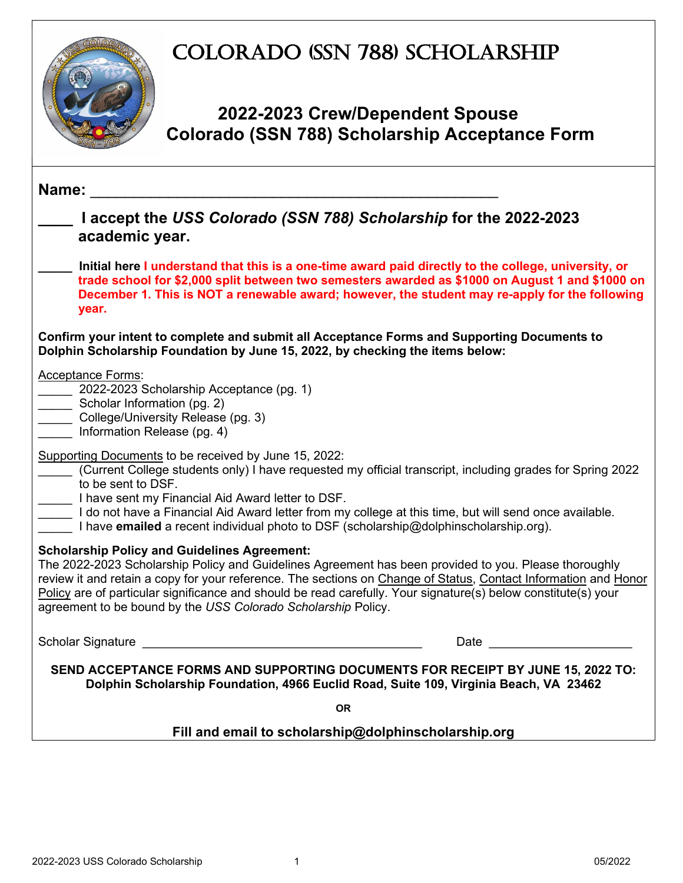## COLORADO (SSN 788) SCHOLARSHIP



### **2022-2023 Crew/Dependent Spouse Colorado (SSN 788) Scholarship Acceptance Form**

| Name:                                                                                                                                                                                                                                                                                                                                                                                                                                                              |  |
|--------------------------------------------------------------------------------------------------------------------------------------------------------------------------------------------------------------------------------------------------------------------------------------------------------------------------------------------------------------------------------------------------------------------------------------------------------------------|--|
| I accept the USS Colorado (SSN 788) Scholarship for the 2022-2023<br>academic year.                                                                                                                                                                                                                                                                                                                                                                                |  |
| Initial here I understand that this is a one-time award paid directly to the college, university, or<br>trade school for \$2,000 split between two semesters awarded as \$1000 on August 1 and \$1000 on<br>December 1. This is NOT a renewable award; however, the student may re-apply for the following<br>year.                                                                                                                                                |  |
| Confirm your intent to complete and submit all Acceptance Forms and Supporting Documents to<br>Dolphin Scholarship Foundation by June 15, 2022, by checking the items below:                                                                                                                                                                                                                                                                                       |  |
| <b>Acceptance Forms:</b><br>2022-2023 Scholarship Acceptance (pg. 1)<br>Scholar Information (pg. 2)<br>College/University Release (pg. 3)<br>Information Release (pg. 4)                                                                                                                                                                                                                                                                                           |  |
| Supporting Documents to be received by June 15, 2022:<br>(Current College students only) I have requested my official transcript, including grades for Spring 2022<br>to be sent to DSF.<br>I have sent my Financial Aid Award letter to DSF.<br>I do not have a Financial Aid Award letter from my college at this time, but will send once available.<br>I have <b>emailed</b> a recent individual photo to DSF (scholarship@dolphinscholarship.org).            |  |
| <b>Scholarship Policy and Guidelines Agreement:</b><br>The 2022-2023 Scholarship Policy and Guidelines Agreement has been provided to you. Please thoroughly<br>review it and retain a copy for your reference. The sections on Change of Status, Contact Information and Honor<br>Policy are of particular significance and should be read carefully. Your signature(s) below constitute(s) your<br>agreement to be bound by the USS Colorado Scholarship Policy. |  |
| <b>Scholar Signature</b><br>Date and the contract of the contract of the contract of the contract of the contract of the contract of the contract of the contract of the contract of the contract of the contract of the contract of the contract of the c<br><u> 1980 - John Stein, Amerikaansk politiker (* 1900)</u>                                                                                                                                            |  |
| SEND ACCEPTANCE FORMS AND SUPPORTING DOCUMENTS FOR RECEIPT BY JUNE 15, 2022 TO:<br>Dolphin Scholarship Foundation, 4966 Euclid Road, Suite 109, Virginia Beach, VA 23462                                                                                                                                                                                                                                                                                           |  |
| <b>OR</b>                                                                                                                                                                                                                                                                                                                                                                                                                                                          |  |
| Fill and email to scholarship@dolphinscholarship.org                                                                                                                                                                                                                                                                                                                                                                                                               |  |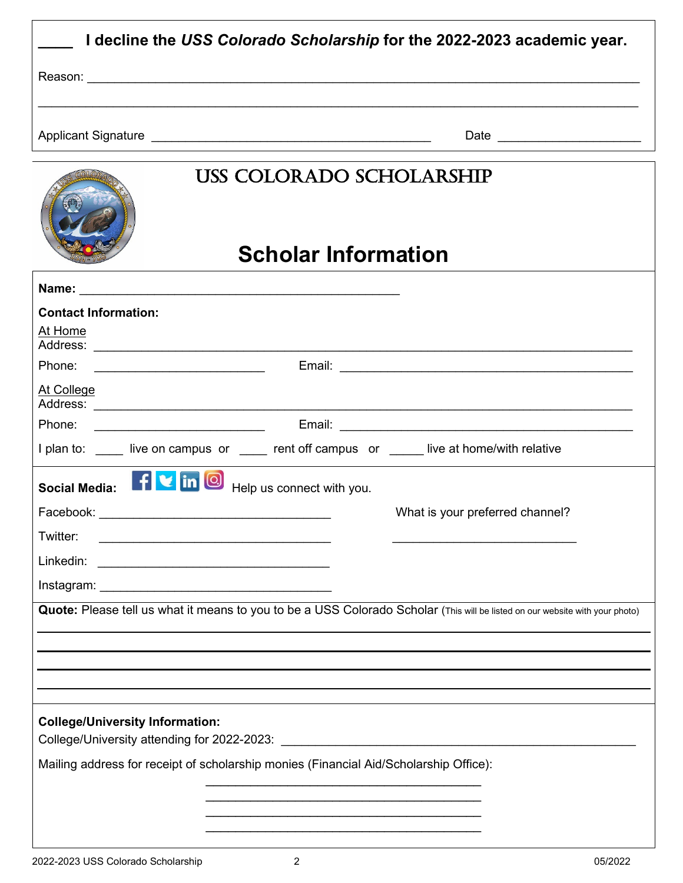| I decline the USS Colorado Scholarship for the 2022-2023 academic year.                                                          |                                 |  |
|----------------------------------------------------------------------------------------------------------------------------------|---------------------------------|--|
|                                                                                                                                  |                                 |  |
|                                                                                                                                  |                                 |  |
|                                                                                                                                  | Date _______________________    |  |
| USS COLORADO SCHOLARSHIP                                                                                                         |                                 |  |
| <b>Scholar Information</b>                                                                                                       |                                 |  |
|                                                                                                                                  |                                 |  |
| <b>Contact Information:</b><br>At Home                                                                                           |                                 |  |
|                                                                                                                                  |                                 |  |
| At College                                                                                                                       |                                 |  |
|                                                                                                                                  |                                 |  |
| I plan to: ____ live on campus or ____ rent off campus or ____ live at home/with relative                                        |                                 |  |
| Social Media: <b>Fig. 1</b> in <b>O</b><br>Help us connect with you.                                                             |                                 |  |
| Facebook:                                                                                                                        | What is your preferred channel? |  |
| Twitter:<br><u> 1989 - Johann Barbara, martin amerikan basar dan berasal dalam basa dalam basar dalam basar dalam basa dalam</u> |                                 |  |
|                                                                                                                                  |                                 |  |
|                                                                                                                                  |                                 |  |
| Quote: Please tell us what it means to you to be a USS Colorado Scholar (This will be listed on our website with your photo)     |                                 |  |
|                                                                                                                                  |                                 |  |
|                                                                                                                                  |                                 |  |
|                                                                                                                                  |                                 |  |
| <b>College/University Information:</b>                                                                                           |                                 |  |
| Mailing address for receipt of scholarship monies (Financial Aid/Scholarship Office):                                            |                                 |  |
|                                                                                                                                  |                                 |  |
|                                                                                                                                  |                                 |  |
|                                                                                                                                  |                                 |  |

 $\mathsf{l}$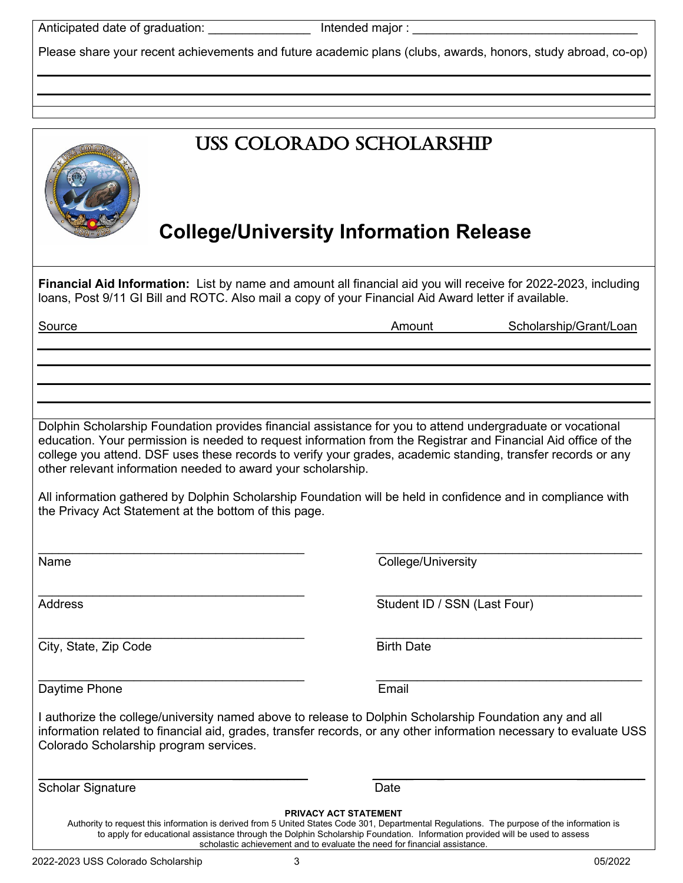Anticipated date of graduation: \_\_\_\_\_\_\_\_\_\_\_\_\_\_\_ Intended major : \_\_\_\_\_\_\_\_\_\_\_\_\_\_\_\_\_\_\_\_\_\_\_\_\_\_\_\_\_\_\_\_\_

Please share your recent achievements and future academic plans (clubs, awards, honors, study abroad, co-op)

|                                                                                                                               | <b>USS COLORADO SCHOLARSHIP</b><br><b>College/University Information Release</b>                                                                                                                                                                                                                                                                                                        |
|-------------------------------------------------------------------------------------------------------------------------------|-----------------------------------------------------------------------------------------------------------------------------------------------------------------------------------------------------------------------------------------------------------------------------------------------------------------------------------------------------------------------------------------|
|                                                                                                                               | Financial Aid Information: List by name and amount all financial aid you will receive for 2022-2023, including<br>loans, Post 9/11 GI Bill and ROTC. Also mail a copy of your Financial Aid Award letter if available.                                                                                                                                                                  |
| Source                                                                                                                        | Amount<br>Scholarship/Grant/Loan                                                                                                                                                                                                                                                                                                                                                        |
|                                                                                                                               |                                                                                                                                                                                                                                                                                                                                                                                         |
|                                                                                                                               |                                                                                                                                                                                                                                                                                                                                                                                         |
|                                                                                                                               |                                                                                                                                                                                                                                                                                                                                                                                         |
|                                                                                                                               |                                                                                                                                                                                                                                                                                                                                                                                         |
| other relevant information needed to award your scholarship.<br>the Privacy Act Statement at the bottom of this page.<br>Name | education. Your permission is needed to request information from the Registrar and Financial Aid office of the<br>college you attend. DSF uses these records to verify your grades, academic standing, transfer records or any<br>All information gathered by Dolphin Scholarship Foundation will be held in confidence and in compliance with<br>College/University                    |
| <b>Address</b>                                                                                                                | Student ID / SSN (Last Four)                                                                                                                                                                                                                                                                                                                                                            |
| City, State, Zip Code                                                                                                         | <b>Birth Date</b>                                                                                                                                                                                                                                                                                                                                                                       |
|                                                                                                                               |                                                                                                                                                                                                                                                                                                                                                                                         |
| Daytime Phone                                                                                                                 | Email                                                                                                                                                                                                                                                                                                                                                                                   |
| Colorado Scholarship program services.                                                                                        | I authorize the college/university named above to release to Dolphin Scholarship Foundation any and all<br>information related to financial aid, grades, transfer records, or any other information necessary to evaluate USS                                                                                                                                                           |
| <b>Scholar Signature</b>                                                                                                      | Date                                                                                                                                                                                                                                                                                                                                                                                    |
|                                                                                                                               | <b>PRIVACY ACT STATEMENT</b><br>Authority to request this information is derived from 5 United States Code 301, Departmental Regulations. The purpose of the information is<br>to apply for educational assistance through the Dolphin Scholarship Foundation. Information provided will be used to assess<br>scholastic achievement and to evaluate the need for financial assistance. |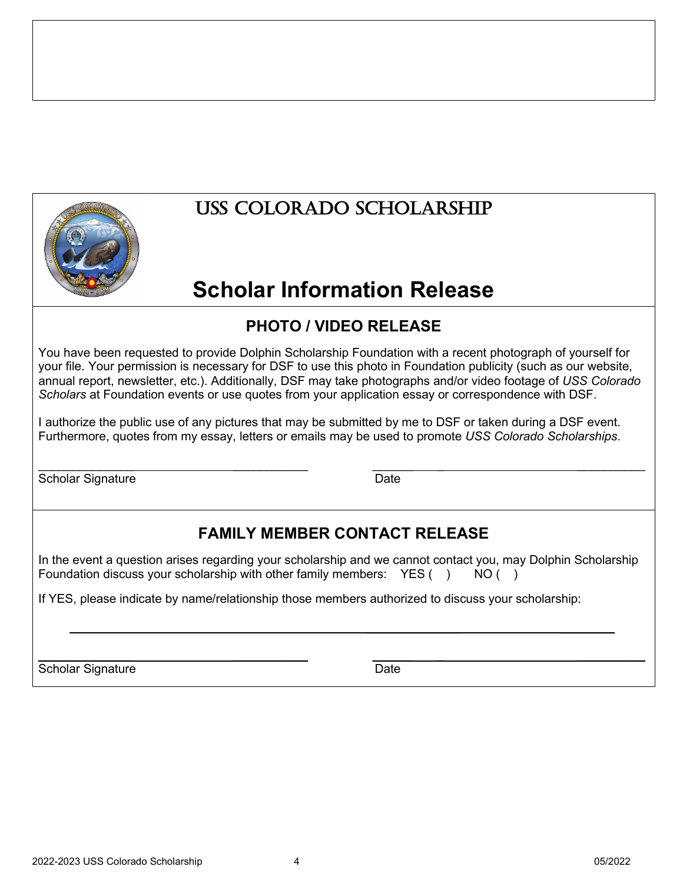

## USS COLORADO Scholarship

# **Scholar Information Release**

### **PHOTO / VIDEO RELEASE**

You have been requested to provide Dolphin Scholarship Foundation with a recent photograph of yourself for your file. Your permission is necessary for DSF to use this photo in Foundation publicity (such as our website, annual report, newsletter, etc.). Additionally, DSF may take photographs and/or video footage of *USS Colorado Scholars* at Foundation events or use quotes from your application essay or correspondence with DSF.

I authorize the public use of any pictures that may be submitted by me to DSF or taken during a DSF event. Furthermore, quotes from my essay, letters or emails may be used to promote *USS Colorado Scholarships*.

\_\_\_\_\_\_\_\_\_\_\_\_\_\_ \_\_\_\_\_\_\_\_\_\_\_ \_\_\_\_\_\_ \_ \_\_\_\_\_\_\_\_\_\_ Scholar Signature Date Date

### **FAMILY MEMBER CONTACT RELEASE**

In the event a question arises regarding your scholarship and we cannot contact you, may Dolphin Scholarship Foundation discuss your scholarship with other family members:  $YES( )$  NO ()

If YES, please indicate by name/relationship those members authorized to discuss your scholarship:

 $\overline{\phantom{a}}$  , which is a set of the contract of the contract of the contract of the contract of the contract of the contract of the contract of the contract of the contract of the contract of the contract of the contract

\_\_\_\_\_\_\_\_\_\_\_\_\_\_ \_\_\_\_\_\_\_\_\_\_\_ \_\_\_\_\_\_ \_ \_\_\_\_\_\_\_\_\_\_ Scholar Signature Date